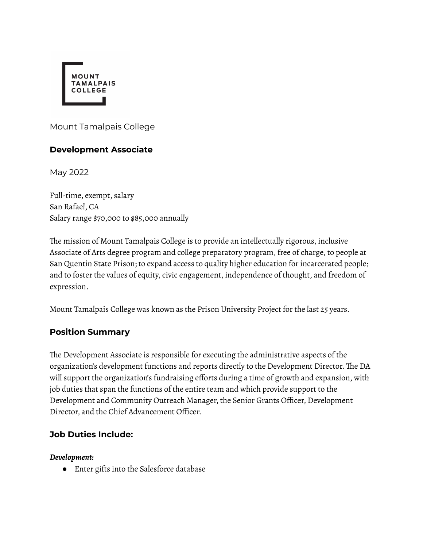

Mount Tamalpais College

## **Development Associate**

May 2022

Full-time, exempt, salary San Rafael, CA Salary range \$70,000 to \$85,000 annually

The mission of Mount Tamalpais College is to provide an intellectually rigorous, inclusive Associate of Arts degree program and college preparatory program, free of charge, to people at San Quentin State Prison; to expand access to quality higher education for incarcerated people; and to foster the values of equity, civic engagement, independence of thought, and freedom of expression.

Mount Tamalpais College was known as the Prison University Project for the last 25 years.

#### **Position Summary**

The Development Associate is responsible for executing the administrative aspects of the organization's development functions and reports directly to the Development Director. The DA will support the organization's fundraising efforts during a time of growth and expansion, with job duties that span the functions of the entire team and which provide support to the Development and Community Outreach Manager, the Senior Grants Officer, Development Director, and the Chief Advancement Officer.

## **Job Duties Include:**

#### *Development:*

● Enter gifts into the Salesforce database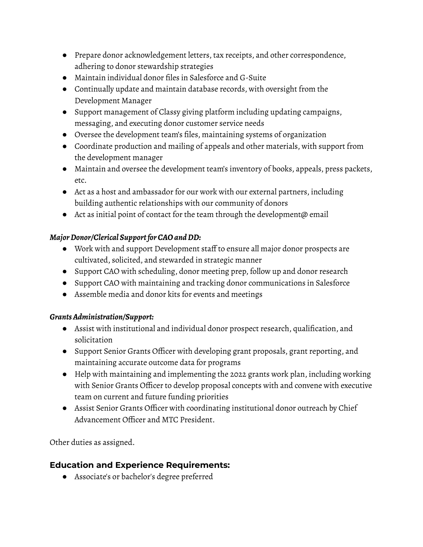- Prepare donor acknowledgement letters, tax receipts, and other correspondence, adhering to donor stewardship strategies
- Maintain individual donor files in Salesforce and G-Suite
- Continually update and maintain database records, with oversight from the Development Manager
- Support management of Classy giving platform including updating campaigns, messaging, and executing donor customer service needs
- Oversee the development team's files, maintaining systems of organization
- Coordinate production and mailing of appeals and other materials, with support from the development manager
- Maintain and oversee the development team's inventory of books, appeals, press packets, etc.
- Act as a host and ambassador for our work with our external partners, including building authentic relationships with our community of donors
- Act as initial point of contact for the team through the development@ email

## *MajorDonor/Clerical Supportfor CAOand DD:*

- Work with and support Development staff to ensure all major donor prospects are cultivated, solicited, and stewarded in strategic manner
- Support CAO with scheduling, donor meeting prep, follow up and donor research
- Support CAO with maintaining and tracking donor communications in Salesforce
- Assemble media and donor kits for events and meetings

## *GrantsAdministration/Support:*

- Assist with institutional and individual donor prospect research, qualification, and solicitation
- Support Senior Grants Officer with developing grant proposals, grant reporting, and maintaining accurate outcome data for programs
- Help with maintaining and implementing the 2022 grants work plan, including working with Senior Grants Officer to develop proposal concepts with and convene with executive team on current and future funding priorities
- Assist Senior Grants Officer with coordinating institutional donor outreach by Chief Advancement Officer and MTC President.

Other duties as assigned.

# **Education and Experience Requirements:**

● Associate's or bachelor's degree preferred